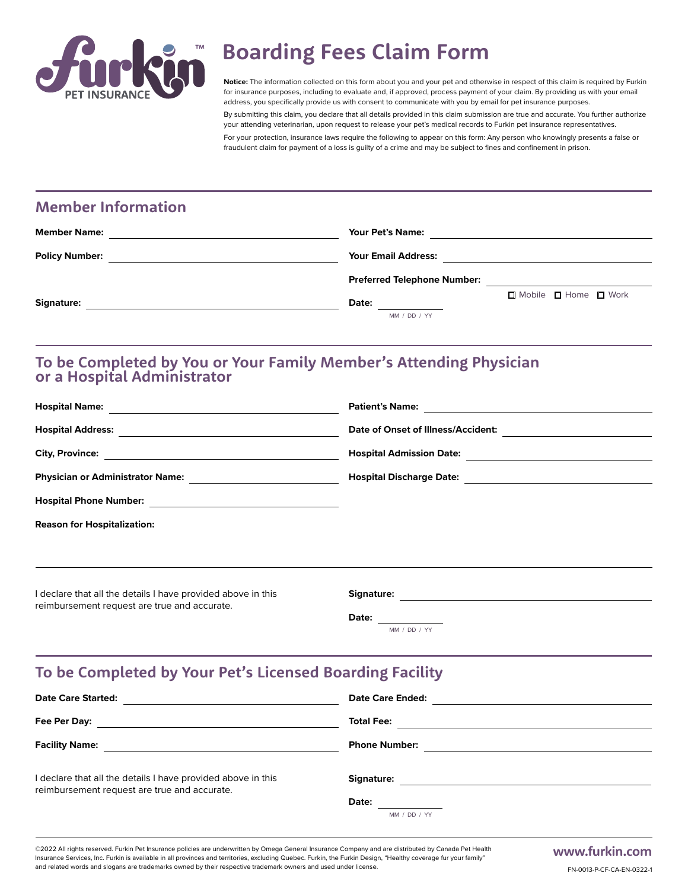

# **Boarding Fees Claim Form**

**Notice:** The information collected on this form about you and your pet and otherwise in respect of this claim is required by Furkin for insurance purposes, including to evaluate and, if approved, process payment of your claim. By providing us with your email address, you specifically provide us with consent to communicate with you by email for pet insurance purposes.

By submitting this claim, you declare that all details provided in this claim submission are true and accurate. You further authorize your attending veterinarian, upon request to release your pet's medical records to Furkin pet insurance representatives. For your protection, insurance laws require the following to appear on this form: Any person who knowingly presents a false or fraudulent claim for payment of a loss is guilty of a crime and may be subject to fines and confinement in prison.

#### **Member Information**

| <b>Member Name:</b>   | <b>Your Pet's Name:</b>            |
|-----------------------|------------------------------------|
| <b>Policy Number:</b> | <b>Your Email Address:</b>         |
|                       | <b>Preferred Telephone Number:</b> |
| Signature:            | □ Mobile □ Home □ Work<br>Date:    |
|                       | MM / DD / YY                       |

#### **To be Completed by You or Your Family Member's Attending Physician or a Hospital Administrator**

| <b>Hospital Name:</b>                                                                                        | <b>Patient's Name:</b>             |
|--------------------------------------------------------------------------------------------------------------|------------------------------------|
| <b>Hospital Address:</b>                                                                                     | Date of Onset of Illness/Accident: |
| <b>City, Province:</b>                                                                                       | <b>Hospital Admission Date:</b>    |
| <b>Physician or Administrator Name:</b>                                                                      | <b>Hospital Discharge Date:</b>    |
| <b>Hospital Phone Number:</b>                                                                                |                                    |
| <b>Reason for Hospitalization:</b>                                                                           |                                    |
|                                                                                                              |                                    |
| I declare that all the details I have provided above in this<br>reimbursement request are true and accurate. | Signature:                         |

**Date:**

MM / DD / YY

## **To be Completed by Your Pet's Licensed Boarding Facility**

| <b>Date Care Started:</b>                                                                                    | <b>Date Care Ended:</b>             |
|--------------------------------------------------------------------------------------------------------------|-------------------------------------|
| Fee Per Day:                                                                                                 | <b>Total Fee:</b>                   |
| <b>Facility Name:</b>                                                                                        | <b>Phone Number:</b>                |
| I declare that all the details I have provided above in this<br>reimbursement request are true and accurate. | Signature:<br>Date:<br>MM / DD / YY |

©2022 All rights reserved. Furkin Pet Insurance policies are underwritten by Omega General Insurance Company and are distributed by Canada Pet Health Insurance Services, Inc. Furkin is available in all provinces and territories, excluding Quebec. Furkin, the Furkin Design, "Healthy coverage fur your family" and related words and slogans are trademarks owned by their respective trademark owners and used under license.